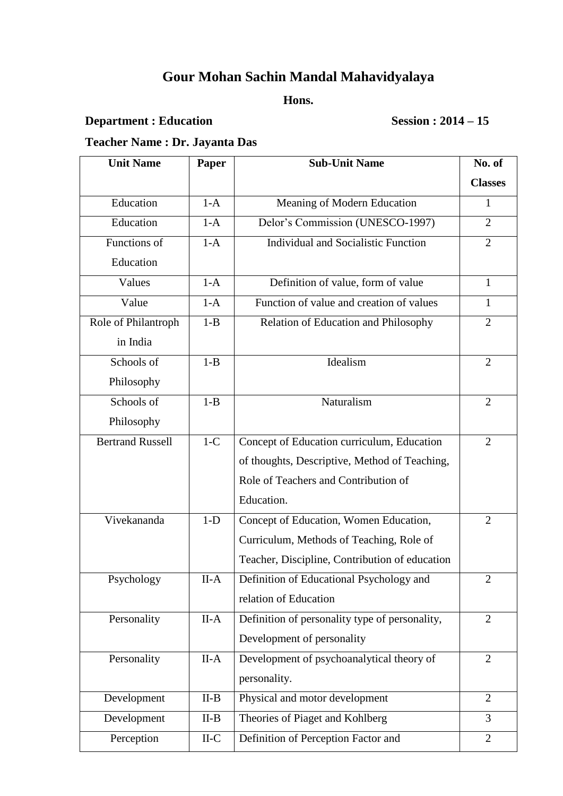# **Gour Mohan Sachin Mandal Mahavidyalaya**

#### **Hons.**

## **Department : Education Session : 2014 – 15**

## **Teacher Name : Dr. Jayanta Das**

| <b>Unit Name</b>        | Paper   | <b>Sub-Unit Name</b>                           | No. of         |
|-------------------------|---------|------------------------------------------------|----------------|
|                         |         |                                                | <b>Classes</b> |
| Education               | $1-A$   | Meaning of Modern Education                    | $\mathbf{1}$   |
| Education               | $1-A$   | Delor's Commission (UNESCO-1997)               | $\overline{2}$ |
| Functions of            | $1-A$   | <b>Individual and Socialistic Function</b>     | $\overline{2}$ |
| Education               |         |                                                |                |
| Values                  | $1-A$   | Definition of value, form of value             | $\mathbf{1}$   |
| Value                   | $1-A$   | Function of value and creation of values       | $\mathbf{1}$   |
| Role of Philantroph     | $1 - B$ | Relation of Education and Philosophy           | $\overline{2}$ |
| in India                |         |                                                |                |
| Schools of              | $1 - B$ | Idealism                                       | $\overline{2}$ |
| Philosophy              |         |                                                |                |
| Schools of              | $1 - B$ | Naturalism                                     | $\overline{2}$ |
| Philosophy              |         |                                                |                |
| <b>Bertrand Russell</b> | $1-C$   | Concept of Education curriculum, Education     | 2              |
|                         |         | of thoughts, Descriptive, Method of Teaching,  |                |
|                         |         | Role of Teachers and Contribution of           |                |
|                         |         | Education.                                     |                |
| Vivekananda             | $1-D$   | Concept of Education, Women Education,         | $\overline{2}$ |
|                         |         | Curriculum, Methods of Teaching, Role of       |                |
|                         |         | Teacher, Discipline, Contribution of education |                |
| Psychology              | II-A    | Definition of Educational Psychology and       | $\mathbf{2}$   |
|                         |         | relation of Education                          |                |
| Personality             | $II-A$  | Definition of personality type of personality, | $\overline{2}$ |
|                         |         | Development of personality                     |                |
| Personality             | $II-A$  | Development of psychoanalytical theory of      | $\overline{2}$ |
|                         |         | personality.                                   |                |
| Development             | $II-B$  | Physical and motor development                 | $\overline{2}$ |
| Development             | $II-B$  | Theories of Piaget and Kohlberg                | $\overline{3}$ |
| Perception              | $II-C$  | Definition of Perception Factor and            | $\overline{2}$ |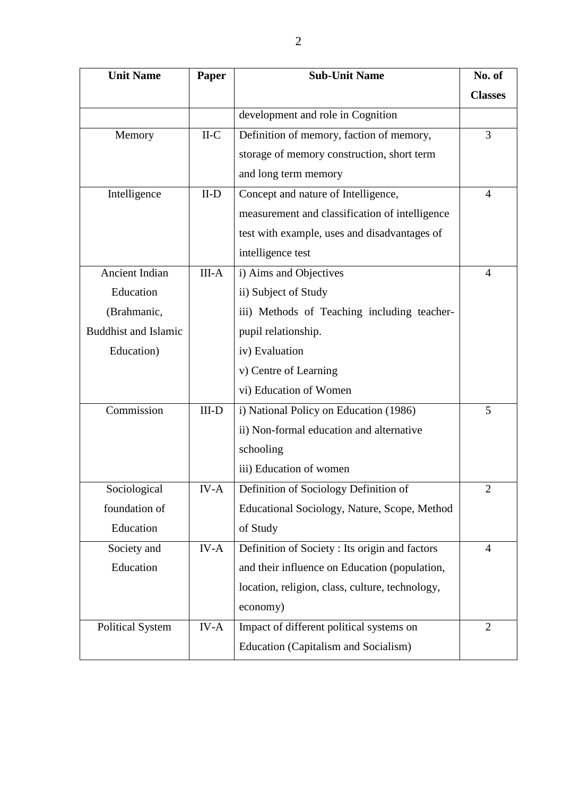| <b>Unit Name</b>            | Paper   | <b>Sub-Unit Name</b>                            | No. of         |
|-----------------------------|---------|-------------------------------------------------|----------------|
|                             |         |                                                 | <b>Classes</b> |
|                             |         | development and role in Cognition               |                |
| Memory                      | $II-C$  | Definition of memory, faction of memory,        | $\overline{3}$ |
|                             |         | storage of memory construction, short term      |                |
|                             |         | and long term memory                            |                |
| Intelligence                | $II-D$  | Concept and nature of Intelligence,             | $\overline{4}$ |
|                             |         | measurement and classification of intelligence  |                |
|                             |         | test with example, uses and disadvantages of    |                |
|                             |         | intelligence test                               |                |
| <b>Ancient Indian</b>       | $III-A$ | i) Aims and Objectives                          | 4              |
| Education                   |         | ii) Subject of Study                            |                |
| (Brahmanic,                 |         | iii) Methods of Teaching including teacher-     |                |
| <b>Buddhist and Islamic</b> |         | pupil relationship.                             |                |
| Education)                  |         | iv) Evaluation                                  |                |
|                             |         | v) Centre of Learning                           |                |
|                             |         | vi) Education of Women                          |                |
| Commission                  | $III-D$ | i) National Policy on Education (1986)          | 5              |
|                             |         | ii) Non-formal education and alternative        |                |
|                             |         | schooling                                       |                |
|                             |         | iii) Education of women                         |                |
| Sociological                | IV-A    | Definition of Sociology Definition of           | $\overline{c}$ |
| foundation of               |         | Educational Sociology, Nature, Scope, Method    |                |
| Education                   |         | of Study                                        |                |
| Society and                 | IV-A    | Definition of Society : Its origin and factors  | $\overline{4}$ |
| Education                   |         | and their influence on Education (population,   |                |
|                             |         | location, religion, class, culture, technology, |                |
|                             |         | economy)                                        |                |
| <b>Political System</b>     | IV-A    | Impact of different political systems on        | $\overline{2}$ |
|                             |         | Education (Capitalism and Socialism)            |                |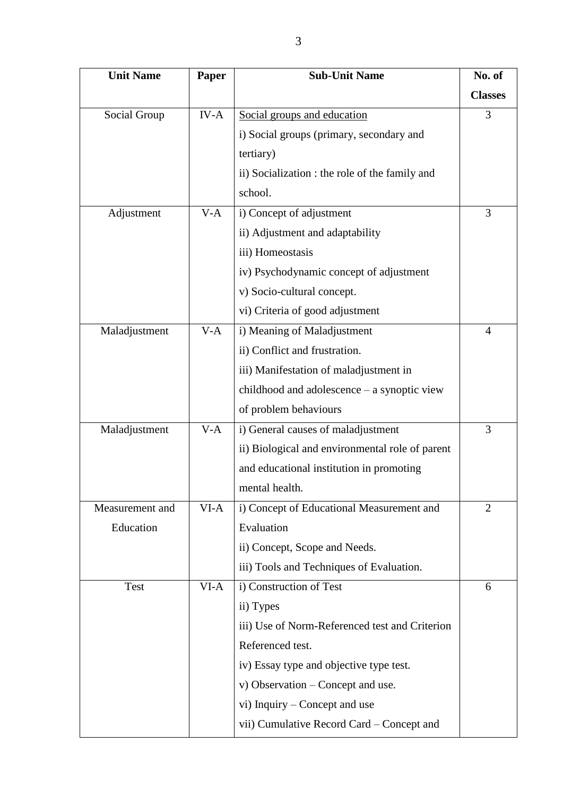| <b>Unit Name</b> | Paper  | <b>Sub-Unit Name</b>                            | No. of         |
|------------------|--------|-------------------------------------------------|----------------|
|                  |        |                                                 | <b>Classes</b> |
| Social Group     | $IV-A$ | Social groups and education                     | 3              |
|                  |        | i) Social groups (primary, secondary and        |                |
|                  |        | tertiary)                                       |                |
|                  |        | ii) Socialization : the role of the family and  |                |
|                  |        | school.                                         |                |
| Adjustment       | $V-A$  | i) Concept of adjustment                        | 3              |
|                  |        | ii) Adjustment and adaptability                 |                |
|                  |        | iii) Homeostasis                                |                |
|                  |        | iv) Psychodynamic concept of adjustment         |                |
|                  |        | v) Socio-cultural concept.                      |                |
|                  |        | vi) Criteria of good adjustment                 |                |
| Maladjustment    | $V-A$  | i) Meaning of Maladjustment                     | $\overline{4}$ |
|                  |        | ii) Conflict and frustration.                   |                |
|                  |        | iii) Manifestation of maladjustment in          |                |
|                  |        | childhood and adolescence - a synoptic view     |                |
|                  |        | of problem behaviours                           |                |
| Maladjustment    | $V-A$  | i) General causes of maladjustment              | 3              |
|                  |        | ii) Biological and environmental role of parent |                |
|                  |        | and educational institution in promoting        |                |
|                  |        | mental health.                                  |                |
| Measurement and  | VI-A   | i) Concept of Educational Measurement and       | $\overline{2}$ |
| Education        |        | Evaluation                                      |                |
|                  |        | ii) Concept, Scope and Needs.                   |                |
|                  |        | iii) Tools and Techniques of Evaluation.        |                |
| <b>Test</b>      | VI-A   | i) Construction of Test                         | 6              |
|                  |        | ii) Types                                       |                |
|                  |        | iii) Use of Norm-Referenced test and Criterion  |                |
|                  |        | Referenced test.                                |                |
|                  |        | iv) Essay type and objective type test.         |                |
|                  |        | v) Observation – Concept and use.               |                |
|                  |        | vi) Inquiry – Concept and use                   |                |
|                  |        | vii) Cumulative Record Card – Concept and       |                |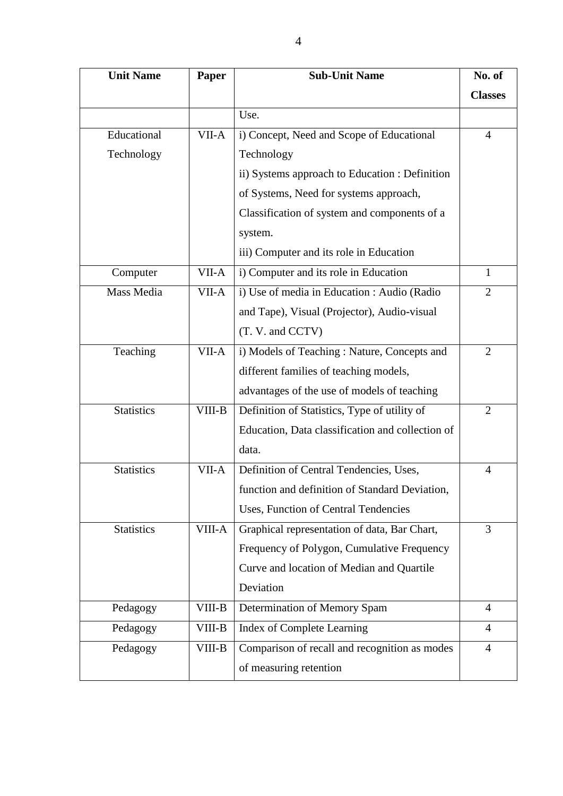| <b>Unit Name</b>  | Paper  | <b>Sub-Unit Name</b>                             | No. of         |
|-------------------|--------|--------------------------------------------------|----------------|
|                   |        |                                                  | <b>Classes</b> |
|                   |        | Use.                                             |                |
| Educational       | VII-A  | i) Concept, Need and Scope of Educational        | $\overline{4}$ |
| Technology        |        | Technology                                       |                |
|                   |        | ii) Systems approach to Education : Definition   |                |
|                   |        | of Systems, Need for systems approach,           |                |
|                   |        | Classification of system and components of a     |                |
|                   |        | system.                                          |                |
|                   |        | iii) Computer and its role in Education          |                |
| Computer          | VII-A  | i) Computer and its role in Education            | $\mathbf{1}$   |
| Mass Media        | VII-A  | i) Use of media in Education : Audio (Radio      | $\overline{2}$ |
|                   |        | and Tape), Visual (Projector), Audio-visual      |                |
|                   |        | (T. V. and CCTV)                                 |                |
| Teaching          | VII-A  | i) Models of Teaching: Nature, Concepts and      | $\overline{2}$ |
|                   |        | different families of teaching models,           |                |
|                   |        | advantages of the use of models of teaching      |                |
| <b>Statistics</b> | VIII-B | Definition of Statistics, Type of utility of     | $\overline{2}$ |
|                   |        | Education, Data classification and collection of |                |
|                   |        | data.                                            |                |
| <b>Statistics</b> | VII-A  | Definition of Central Tendencies, Uses,          | $\overline{4}$ |
|                   |        | function and definition of Standard Deviation,   |                |
|                   |        | Uses, Function of Central Tendencies             |                |
| <b>Statistics</b> | VIII-A | Graphical representation of data, Bar Chart,     | 3              |
|                   |        | Frequency of Polygon, Cumulative Frequency       |                |
|                   |        | Curve and location of Median and Quartile        |                |
|                   |        | Deviation                                        |                |
| Pedagogy          | VIII-B | Determination of Memory Spam                     | $\overline{4}$ |
| Pedagogy          | VIII-B | Index of Complete Learning                       | $\overline{4}$ |
| Pedagogy          | VIII-B | Comparison of recall and recognition as modes    | $\overline{4}$ |
|                   |        | of measuring retention                           |                |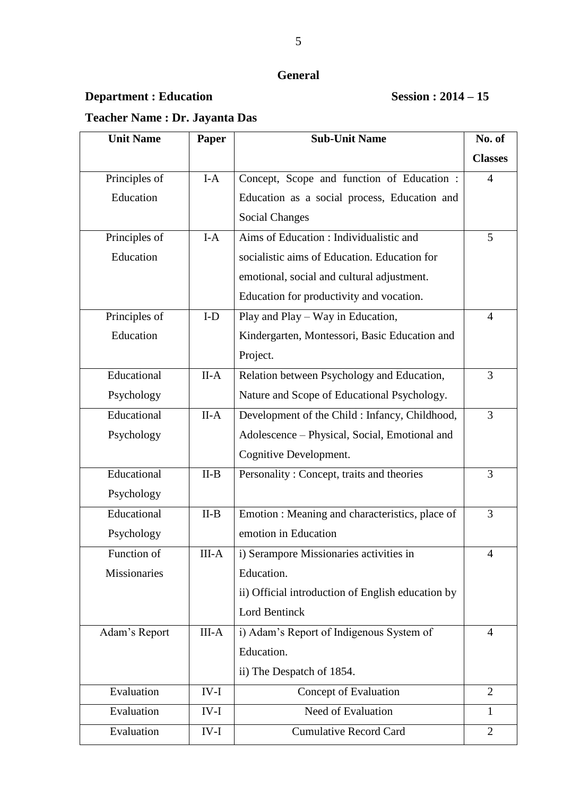## **Department : Education Session : 2014 – 15**

## **Teacher Name : Dr. Jayanta Das**

| <b>Unit Name</b> | Paper   | <b>Sub-Unit Name</b>                              | No. of         |
|------------------|---------|---------------------------------------------------|----------------|
|                  |         |                                                   | <b>Classes</b> |
| Principles of    | $I-A$   | Concept, Scope and function of Education :        | $\overline{4}$ |
| Education        |         | Education as a social process, Education and      |                |
|                  |         | <b>Social Changes</b>                             |                |
| Principles of    | $I-A$   | Aims of Education : Individualistic and           | 5              |
| Education        |         | socialistic aims of Education. Education for      |                |
|                  |         | emotional, social and cultural adjustment.        |                |
|                  |         | Education for productivity and vocation.          |                |
| Principles of    | $I-D$   | Play and Play - Way in Education,                 | $\overline{4}$ |
| Education        |         | Kindergarten, Montessori, Basic Education and     |                |
|                  |         | Project.                                          |                |
| Educational      | $II-A$  | Relation between Psychology and Education,        | 3              |
| Psychology       |         | Nature and Scope of Educational Psychology.       |                |
| Educational      | $II-A$  | Development of the Child : Infancy, Childhood,    | 3              |
| Psychology       |         | Adolescence - Physical, Social, Emotional and     |                |
|                  |         | Cognitive Development.                            |                |
| Educational      | $II-B$  | Personality: Concept, traits and theories         | 3              |
| Psychology       |         |                                                   |                |
| Educational      | $II-B$  | Emotion : Meaning and characteristics, place of   | 3              |
| Psychology       |         | emotion in Education                              |                |
| Function of      | III-A   | i) Serampore Missionaries activities in           | 4              |
| Missionaries     |         | Education.                                        |                |
|                  |         | ii) Official introduction of English education by |                |
|                  |         | Lord Bentinck                                     |                |
| Adam's Report    | $III-A$ | i) Adam's Report of Indigenous System of          | $\overline{4}$ |
|                  |         | Education.                                        |                |
|                  |         | ii) The Despatch of 1854.                         |                |
| Evaluation       | $IV-I$  | Concept of Evaluation                             | $\overline{2}$ |
| Evaluation       | $IV-I$  | Need of Evaluation                                | $\mathbf{1}$   |
| Evaluation       | $IV-I$  | <b>Cumulative Record Card</b>                     | $\overline{2}$ |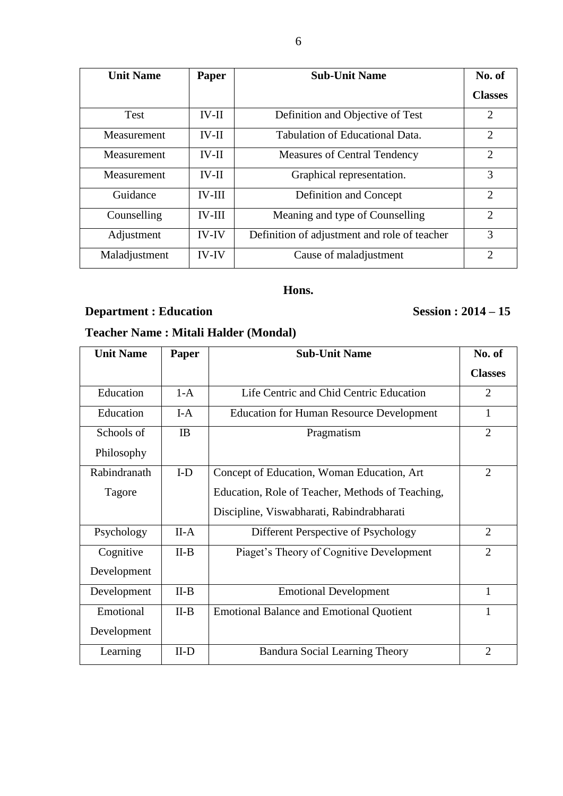| <b>Unit Name</b> | Paper         | <b>Sub-Unit Name</b>                         | No. of         |
|------------------|---------------|----------------------------------------------|----------------|
|                  |               |                                              | <b>Classes</b> |
| Test             | $IV-II$       | Definition and Objective of Test             | 2              |
| Measurement      | $IV-II$       | Tabulation of Educational Data.              | 2              |
| Measurement      | $IV-II$       | <b>Measures of Central Tendency</b>          | $\overline{2}$ |
| Measurement      | $IV-II$       | Graphical representation.                    | 3              |
| Guidance         | <b>IV-III</b> | Definition and Concept                       | $\overline{2}$ |
| Counselling      | <b>IV-III</b> | Meaning and type of Counselling              | 2              |
| Adjustment       | <b>IV-IV</b>  | Definition of adjustment and role of teacher | 3              |
| Maladjustment    | <b>IV-IV</b>  | Cause of maladjustment                       | $\overline{2}$ |

#### **Hons.**

## **Department : Education** Session : 2014 – 15

## **Teacher Name : Mitali Halder (Mondal)**

| <b>Unit Name</b> | Paper     | <b>Sub-Unit Name</b>                             | No. of         |
|------------------|-----------|--------------------------------------------------|----------------|
|                  |           |                                                  | <b>Classes</b> |
| Education        | $1-A$     | Life Centric and Chid Centric Education          | $\overline{2}$ |
| Education        | $I-A$     | <b>Education for Human Resource Development</b>  | 1              |
| Schools of       | <b>IB</b> | Pragmatism                                       | $\overline{2}$ |
| Philosophy       |           |                                                  |                |
| Rabindranath     | $I-D$     | Concept of Education, Woman Education, Art       | $\overline{2}$ |
| Tagore           |           | Education, Role of Teacher, Methods of Teaching, |                |
|                  |           | Discipline, Viswabharati, Rabindrabharati        |                |
| Psychology       | $II-A$    | Different Perspective of Psychology              | $\overline{2}$ |
| Cognitive        | $II-B$    | Piaget's Theory of Cognitive Development         | $\overline{2}$ |
| Development      |           |                                                  |                |
| Development      | $II-B$    | <b>Emotional Development</b>                     | 1              |
| Emotional        | $II-B$    | <b>Emotional Balance and Emotional Quotient</b>  | 1              |
| Development      |           |                                                  |                |
| Learning         | $II-D$    | <b>Bandura Social Learning Theory</b>            | $\overline{2}$ |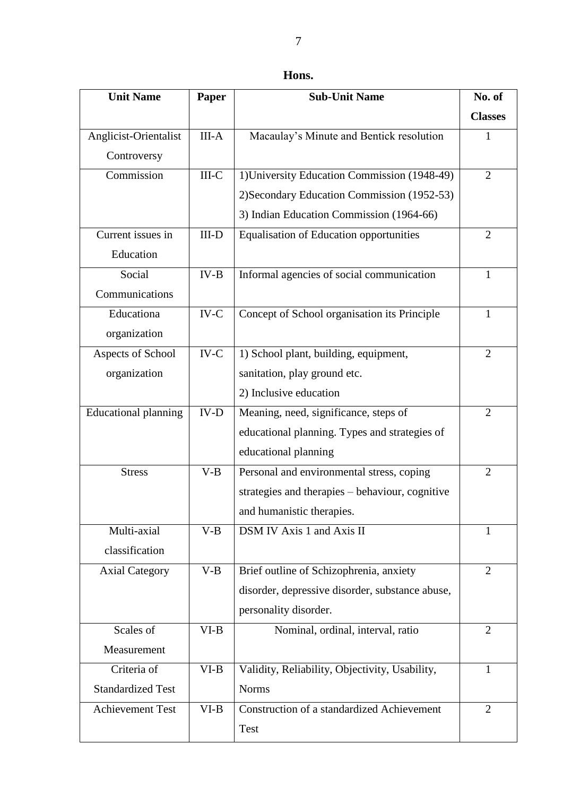| Hons. |  |
|-------|--|
|-------|--|

| <b>Unit Name</b>            | Paper                 | <b>Sub-Unit Name</b>                            | No. of         |
|-----------------------------|-----------------------|-------------------------------------------------|----------------|
|                             |                       |                                                 | <b>Classes</b> |
| Anglicist-Orientalist       | $III-A$               | Macaulay's Minute and Bentick resolution        | $\mathbf{1}$   |
| Controversy                 |                       |                                                 |                |
| Commission                  | $III-C$               | 1) University Education Commission (1948-49)    | $\overline{2}$ |
|                             |                       | 2) Secondary Education Commission (1952-53)     |                |
|                             |                       | 3) Indian Education Commission (1964-66)        |                |
| Current issues in           | $III-D$               | <b>Equalisation of Education opportunities</b>  | $\overline{2}$ |
| Education                   |                       |                                                 |                |
| Social                      | $IV-B$                | Informal agencies of social communication       | $\mathbf{1}$   |
| Communications              |                       |                                                 |                |
| Educationa                  | $IV-C$                | Concept of School organisation its Principle    | $\mathbf{1}$   |
| organization                |                       |                                                 |                |
| Aspects of School           | $\operatorname{IV-C}$ | 1) School plant, building, equipment,           | $\overline{2}$ |
| organization                |                       | sanitation, play ground etc.                    |                |
|                             |                       | 2) Inclusive education                          |                |
| <b>Educational planning</b> | $IV-D$                | Meaning, need, significance, steps of           | $\overline{2}$ |
|                             |                       | educational planning. Types and strategies of   |                |
|                             |                       | educational planning                            |                |
| <b>Stress</b>               | $V-B$                 | Personal and environmental stress, coping       | $\overline{2}$ |
|                             |                       | strategies and therapies - behaviour, cognitive |                |
|                             |                       | and humanistic therapies.                       |                |
| Multi-axial                 | $V-B$                 | DSM IV Axis 1 and Axis II                       | $\mathbf{1}$   |
| classification              |                       |                                                 |                |
| <b>Axial Category</b>       | $V-B$                 | Brief outline of Schizophrenia, anxiety         | $\overline{2}$ |
|                             |                       | disorder, depressive disorder, substance abuse, |                |
|                             |                       | personality disorder.                           |                |
| Scales of                   | $VI-B$                | Nominal, ordinal, interval, ratio               | $\overline{2}$ |
| Measurement                 |                       |                                                 |                |
| Criteria of                 | $VI-B$                | Validity, Reliability, Objectivity, Usability,  | $\mathbf{1}$   |
| <b>Standardized Test</b>    |                       | <b>Norms</b>                                    |                |
| <b>Achievement Test</b>     | $VI-B$                | Construction of a standardized Achievement      | $\overline{2}$ |
|                             |                       | <b>Test</b>                                     |                |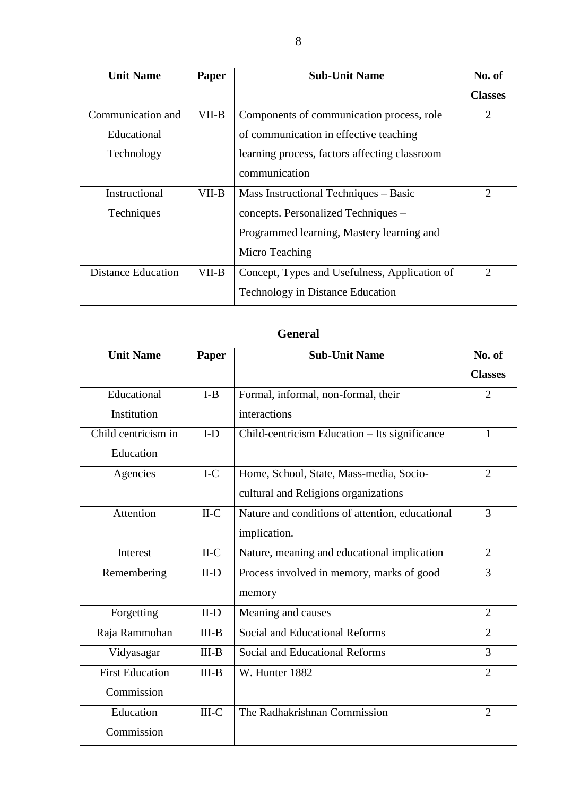| <b>Unit Name</b>          | Paper | <b>Sub-Unit Name</b>                          | No. of         |
|---------------------------|-------|-----------------------------------------------|----------------|
|                           |       |                                               | <b>Classes</b> |
| Communication and         | VII-B | Components of communication process, role     | $\overline{2}$ |
| Educational               |       | of communication in effective teaching        |                |
| Technology                |       | learning process, factors affecting classroom |                |
|                           |       | communication                                 |                |
| Instructional             | VII-B | Mass Instructional Techniques - Basic         | 2              |
| <b>Techniques</b>         |       | concepts. Personalized Techniques –           |                |
|                           |       | Programmed learning, Mastery learning and     |                |
|                           |       | Micro Teaching                                |                |
| <b>Distance Education</b> | VII-B | Concept, Types and Usefulness, Application of | 2              |
|                           |       | <b>Technology in Distance Education</b>       |                |

| <b>Unit Name</b>       | Paper   | <b>Sub-Unit Name</b>                            | No. of         |
|------------------------|---------|-------------------------------------------------|----------------|
|                        |         |                                                 | <b>Classes</b> |
| Educational            | $I-B$   | Formal, informal, non-formal, their             | $\overline{2}$ |
| Institution            |         | interactions                                    |                |
| Child centricism in    | $I-D$   | Child-centricism Education - Its significance   | $\mathbf{1}$   |
| Education              |         |                                                 |                |
| Agencies               | $I-C$   | Home, School, State, Mass-media, Socio-         | $\overline{2}$ |
|                        |         | cultural and Religions organizations            |                |
| Attention              | $II-C$  | Nature and conditions of attention, educational | 3              |
|                        |         | implication.                                    |                |
| Interest               | $II-C$  | Nature, meaning and educational implication     | $\overline{2}$ |
| Remembering            | $II-D$  | Process involved in memory, marks of good       | 3              |
|                        |         | memory                                          |                |
| Forgetting             | $II-D$  | Meaning and causes                              | $\overline{2}$ |
| Raja Rammohan          | $III-B$ | <b>Social and Educational Reforms</b>           | $\overline{2}$ |
| Vidyasagar             | $III-B$ | <b>Social and Educational Reforms</b>           | 3              |
| <b>First Education</b> | $III-B$ | W. Hunter 1882                                  | $\overline{2}$ |
| Commission             |         |                                                 |                |
| Education              | $III-C$ | The Radhakrishnan Commission                    | $\overline{2}$ |
| Commission             |         |                                                 |                |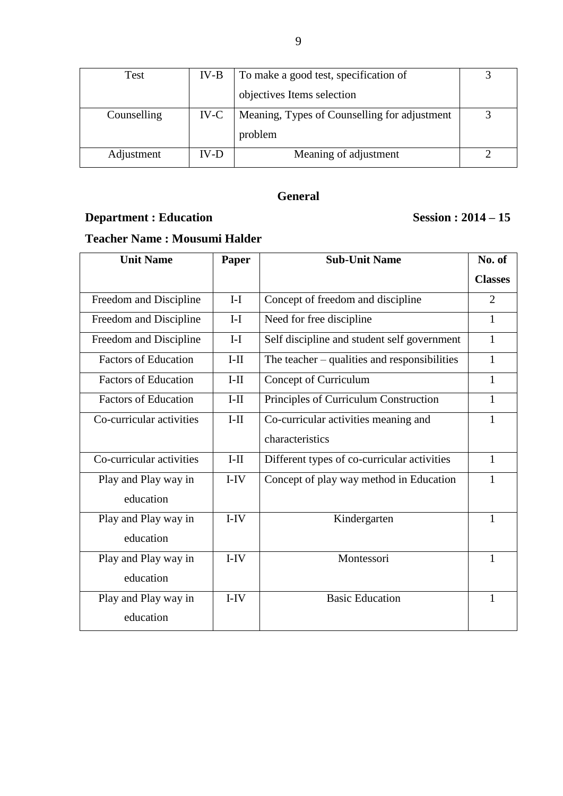| Test        | $IV-B$ | To make a good test, specification of        |  |
|-------------|--------|----------------------------------------------|--|
|             |        | objectives Items selection                   |  |
| Counselling | $IV-C$ | Meaning, Types of Counselling for adjustment |  |
|             |        | problem                                      |  |
| Adjustment  | IV-D   | Meaning of adjustment                        |  |

## **Department : Education** Session : 2014 – 15

### **Teacher Name : Mousumi Halder**

| <b>Unit Name</b>            | Paper  | <b>Sub-Unit Name</b>                         | No. of         |
|-----------------------------|--------|----------------------------------------------|----------------|
|                             |        |                                              | <b>Classes</b> |
| Freedom and Discipline      | $I-I$  | Concept of freedom and discipline            | $\overline{2}$ |
| Freedom and Discipline      | $I-I$  | Need for free discipline                     | 1              |
| Freedom and Discipline      | $I-I$  | Self discipline and student self government  | 1              |
| <b>Factors of Education</b> | $I-II$ | The teacher – qualities and responsibilities | 1              |
| <b>Factors of Education</b> | $I-II$ | Concept of Curriculum                        | 1              |
| <b>Factors of Education</b> | $I-II$ | Principles of Curriculum Construction        | 1              |
| Co-curricular activities    | $I-II$ | Co-curricular activities meaning and         | 1              |
|                             |        | characteristics                              |                |
| Co-curricular activities    | $I-II$ | Different types of co-curricular activities  | $\mathbf{1}$   |
| Play and Play way in        | $I-IV$ | Concept of play way method in Education      | 1              |
| education                   |        |                                              |                |
| Play and Play way in        | $I-IV$ | Kindergarten                                 | 1              |
| education                   |        |                                              |                |
| Play and Play way in        | $I-IV$ | Montessori                                   | 1              |
| education                   |        |                                              |                |
| Play and Play way in        | $I-IV$ | <b>Basic Education</b>                       | 1              |
| education                   |        |                                              |                |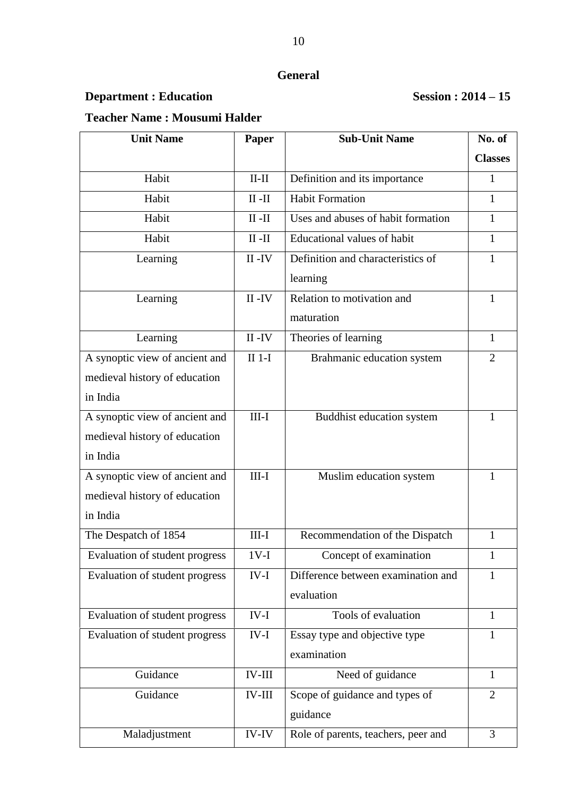## **Department : Education** Session : 2014 – 15

### **Teacher Name : Mousumi Halder**

| <b>Unit Name</b>               | Paper               | <b>Sub-Unit Name</b>                | No. of         |
|--------------------------------|---------------------|-------------------------------------|----------------|
|                                |                     |                                     | <b>Classes</b> |
| Habit                          | $II-II$             | Definition and its importance       | 1              |
| Habit                          | $II - II$           | <b>Habit Formation</b>              | 1              |
| Habit                          | $II - II$           | Uses and abuses of habit formation  | 1              |
| Habit                          | $\rm II$ - $\rm II$ | Educational values of habit         | 1              |
| Learning                       | $II - IV$           | Definition and characteristics of   | $\mathbf{1}$   |
|                                |                     | learning                            |                |
| Learning                       | $II - IV$           | Relation to motivation and          | 1              |
|                                |                     | maturation                          |                |
| Learning                       | $II - IV$           | Theories of learning                | $\mathbf{1}$   |
| A synoptic view of ancient and | $II$ 1-I            | Brahmanic education system          | $\overline{2}$ |
| medieval history of education  |                     |                                     |                |
| in India                       |                     |                                     |                |
| A synoptic view of ancient and | $III-I$             | Buddhist education system           | 1              |
| medieval history of education  |                     |                                     |                |
| in India                       |                     |                                     |                |
| A synoptic view of ancient and | $III-I$             | Muslim education system             | 1              |
| medieval history of education  |                     |                                     |                |
| in India                       |                     |                                     |                |
| The Despatch of 1854           | $III-I$             | Recommendation of the Dispatch      | 1              |
| Evaluation of student progress | $1V-I$              | Concept of examination              | 1              |
| Evaluation of student progress | $IV-I$              | Difference between examination and  | 1              |
|                                |                     | evaluation                          |                |
| Evaluation of student progress | $IV-I$              | Tools of evaluation                 | $\mathbf{1}$   |
| Evaluation of student progress | $IV-I$              | Essay type and objective type       | $\mathbf{1}$   |
|                                |                     | examination                         |                |
| Guidance                       | <b>IV-III</b>       | Need of guidance                    | 1              |
| Guidance                       | <b>IV-III</b>       | Scope of guidance and types of      | $\overline{2}$ |
|                                |                     | guidance                            |                |
| Maladjustment                  | <b>IV-IV</b>        | Role of parents, teachers, peer and | 3              |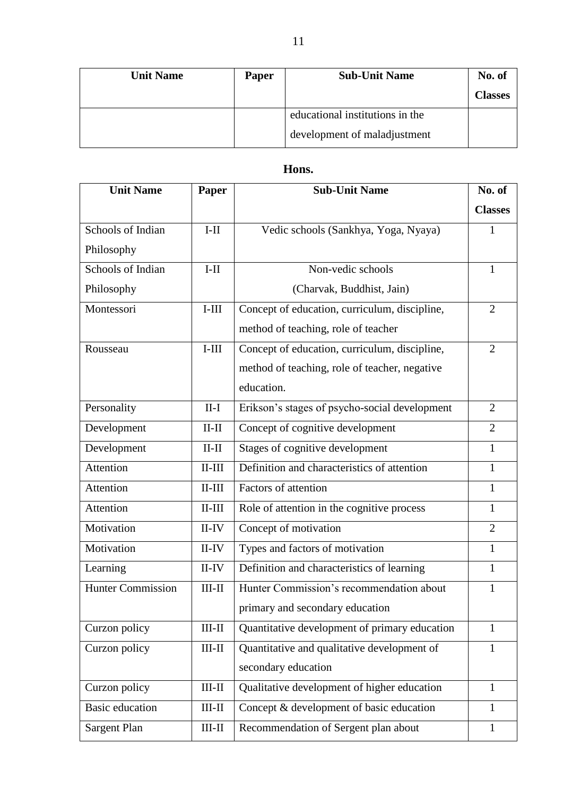| <b>Unit Name</b> | <b>Paper</b> | <b>Sub-Unit Name</b>            | No. of         |
|------------------|--------------|---------------------------------|----------------|
|                  |              |                                 | <b>Classes</b> |
|                  |              | educational institutions in the |                |
|                  |              | development of maladjustment    |                |

### **Hons.**

| <b>Unit Name</b>         | Paper               | <b>Sub-Unit Name</b>                          | No. of         |
|--------------------------|---------------------|-----------------------------------------------|----------------|
|                          |                     |                                               | <b>Classes</b> |
| Schools of Indian        | $I-II$              | Vedic schools (Sankhya, Yoga, Nyaya)          | 1              |
| Philosophy               |                     |                                               |                |
| Schools of Indian        | $I-II$              | Non-vedic schools                             | 1              |
| Philosophy               |                     | (Charvak, Buddhist, Jain)                     |                |
| Montessori               | $I-III$             | Concept of education, curriculum, discipline, | $\overline{2}$ |
|                          |                     | method of teaching, role of teacher           |                |
| Rousseau                 | $I$ -III            | Concept of education, curriculum, discipline, | $\overline{2}$ |
|                          |                     | method of teaching, role of teacher, negative |                |
|                          |                     | education.                                    |                |
| Personality              | $II-I$              | Erikson's stages of psycho-social development | $\overline{2}$ |
| Development              | $II-II$             | Concept of cognitive development              | $\overline{2}$ |
| Development              | $II-II$             | Stages of cognitive development               | $\mathbf{1}$   |
| Attention                | $II-III$            | Definition and characteristics of attention   | $\mathbf{1}$   |
| Attention                | $II-III$            | Factors of attention                          | $\mathbf{1}$   |
| Attention                | $II-III$            | Role of attention in the cognitive process    | $\mathbf{1}$   |
| Motivation               | $II$ -IV            | Concept of motivation                         | $\overline{2}$ |
| Motivation               | $II$ -IV            | Types and factors of motivation               | $\mathbf{1}$   |
| Learning                 | $II$ -IV            | Definition and characteristics of learning    | $\mathbf{1}$   |
| <b>Hunter Commission</b> | $III-II$            | Hunter Commission's recommendation about      | 1              |
|                          |                     | primary and secondary education               |                |
| Curzon policy            | $\rm III\text{-}II$ | Quantitative development of primary education | $\mathbf{1}$   |
| Curzon policy            | $III-II$            | Quantitative and qualitative development of   | $\mathbf{1}$   |
|                          |                     | secondary education                           |                |
| Curzon policy            | $\rm III\text{-}II$ | Qualitative development of higher education   | $\mathbf{1}$   |
| <b>Basic education</b>   | $\rm III\text{-}II$ | Concept & development of basic education      | 1              |
| Sargent Plan             | $\rm III\text{-}II$ | Recommendation of Sergent plan about          | $\mathbf{1}$   |